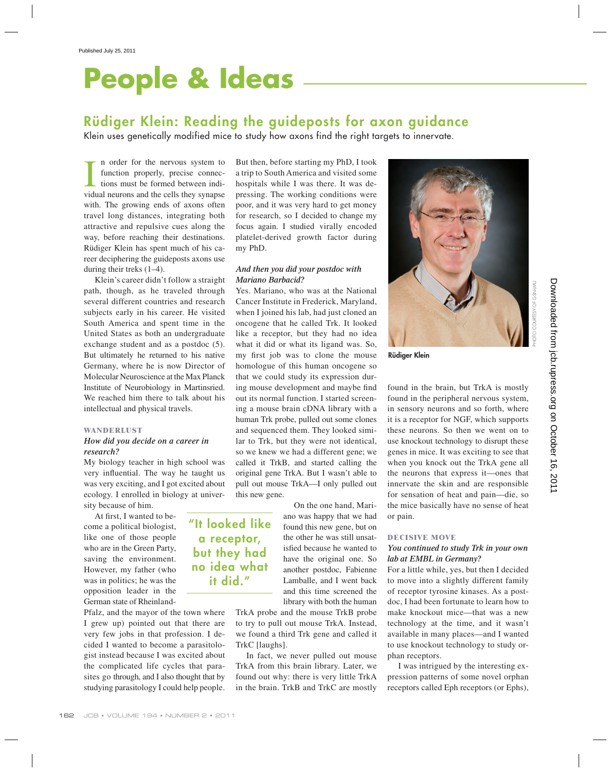# **People & Ideas**

# **Rüdiger Klein: Reading the guideposts for axon guidance**

Klein uses genetically modified mice to study how axons find the right targets to innervate.

I n order for the nervous system to function properly, precise connections must be formed between individual neurons and the cells they synapse n order for the nervous system to function properly, precise connections must be formed between indiwith. The growing ends of axons often travel long distances, integrating both attractive and repulsive cues along the way, before reaching their destinations. Rüdiger Klein has spent much of his career deciphering the guideposts axons use during their treks (1–4).

Klein's career didn't follow a straight path, though, as he traveled through several different countries and research subjects early in his career. He visited South America and spent time in the United States as both an undergraduate exchange student and as a postdoc (5). But ultimately he returned to his native Germany, where he is now Director of Molecular Neuroscience at the Max Planck Institute of Neurobiology in Martinsried. We reached him there to talk about his intellectual and physical travels.

#### **WANDERLUST**

# *How did you decide on a career in research?*

My biology teacher in high school was very influential. The way he taught us was very exciting, and I got excited about ecology. I enrolled in biology at university because of him.

> **"It looked like a receptor, but they had no idea what it did."**

At first, I wanted to become a political biologist, like one of those people who are in the Green Party, saving the environment. However, my father (who was in politics; he was the opposition leader in the German state of Rheinland-

Pfalz, and the mayor of the town where I grew up) pointed out that there are very few jobs in that profession. I decided I wanted to become a parasitologist instead because I was excited about the complicated life cycles that parasites go through, and I also thought that by studying parasitology I could help people.

But then, before starting my PhD, I took a trip to South America and visited some hospitals while I was there. It was depressing. The working conditions were poor, and it was very hard to get money for research, so I decided to change my focus again. I studied virally encoded platelet-derived growth factor during my PhD.

# *And then you did your postdoc with Mariano Barbacid?*

Yes. Mariano, who was at the National Cancer Institute in Frederick, Maryland, when I joined his lab, had just cloned an oncogene that he called Trk. It looked like a receptor, but they had no idea what it did or what its ligand was. So, my first job was to clone the mouse homologue of this human oncogene so that we could study its expression during mouse development and maybe find out its normal function. I started screening a mouse brain cDNA library with a human Trk probe, pulled out some clones and sequenced them. They looked similar to Trk, but they were not identical, so we knew we had a different gene; we called it TrkB, and started calling the original gene TrkA. But I wasn't able to pull out mouse TrkA—I only pulled out this new gene.

> On the one hand, Mariano was happy that we had found this new gene, but on the other he was still unsatisfied because he wanted to have the original one. So another postdoc, Fabienne Lamballe, and I went back and this time screened the library with both the human

TrkA probe and the mouse TrkB probe to try to pull out mouse TrkA. Instead, we found a third Trk gene and called it TrkC [laughs].

In fact, we never pulled out mouse TrkA from this brain library. Later, we found out why: there is very little TrkA in the brain. TrkB and TrkC are mostly



**Rüdiger Klein**

found in the brain, but TrkA is mostly found in the peripheral nervous system, in sensory neurons and so forth, where it is a receptor for NGF, which supports these neurons. So then we went on to use knockout technology to disrupt these genes in mice. It was exciting to see that when you knock out the TrkA gene all the neurons that express it—ones that innervate the skin and are responsible for sensation of heat and pain—die, so the mice basically have no sense of heat or pain.

#### **DECISIVE MOVE**

## *You continued to study Trk in your own lab at EMBL in Germany?*

For a little while, yes, but then I decided to move into a slightly different family of receptor tyrosine kinases. As a postdoc, I had been fortunate to learn how to make knockout mice—that was a new technology at the time, and it wasn't available in many places—and I wanted to use knockout technology to study orphan receptors.

I was intrigued by the interesting expression patterns of some novel orphan receptors called Eph receptors (or Ephs),